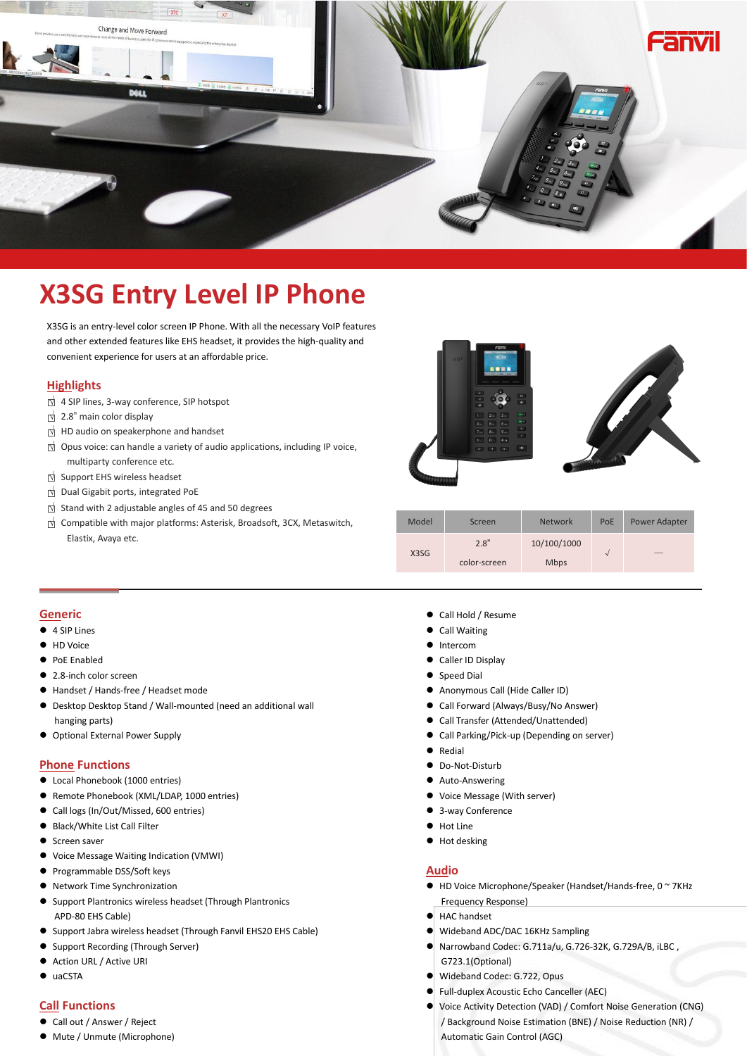

# **X3SG Entry Level IP Phone**

X3SG is an entry-level color screen IP Phone. With all the necessary VoIP features and other extended features like EHS headset, it provides the high-quality and convenient experience for users at an affordable price.

## **Highlights**

- □<sup>√</sup> <sup>4</sup> SIP lines, 3-way conference, SIP hotspot
- □<sup>√</sup> 2.8" main color display
- □<sup>√</sup> HD audio on speakerphone and handset
- □<sup>√</sup> Opus voice:can handle <sup>a</sup> variety of audio applications, including IP voice, multiparty conference etc.
- □<sup>√</sup> Support EHS wireless headset
- □<sup>√</sup> Dual Gigabit ports, integrated PoE
- □<sup>√</sup> Stand with <sup>2</sup> adjustable angles of <sup>45</sup> and <sup>50</sup> degrees
- 



| $\frac{1}{2}$ occurs trient = adjaceable angles of the and see adgress.           |       |                      |                            |     |                          |
|-----------------------------------------------------------------------------------|-------|----------------------|----------------------------|-----|--------------------------|
| $\uparrow$ Compatible with major platforms: Asterisk, Broadsoft, 3CX, Metaswitch, | Model | Screen               | <b>Network</b>             | PoE | Power Adapter            |
| Elastix, Avaya etc.                                                               | X3SG  | 2.8"<br>color-screen | 10/100/1000<br><b>Mbps</b> |     | $\overline{\phantom{a}}$ |

#### **Generic**

- 4 SIP Lines
- **+ID Voice**
- **PoE Enabled**
- 2.8-inch color screen
- Handset / Hands-free / Headset mode
- $\bullet$  Desktop Desktop Stand / Wall-mounted (need an additional wall hanging parts)
- Optional External Power Supply

#### **Phone Functions**

- Local Phonebook (1000 entries)
- Remote Phonebook (XML/LDAP, 1000 entries)
- Call logs (In/Out/Missed, 600 entries)
- Black/White List Call Filter
- Screen saver
- Voice Message Waiting Indication (VMWI)
- **•** Programmable DSS/Soft keys
- Network Time Synchronization
- Support Plantronics wireless headset (Through Plantronics APD-80 EHS Cable)
- Support Jabra wireless headset (Through Fanvil EHS20 EHS Cable)
- Support Recording (Through Server)
- Action URL / Active URI
- $\bullet$  uaCSTA

#### **Call Functions**

- Call out / Answer / Reject
- Mute / Unmute (Microphone)
- Call Hold / Resume
- Call Waiting
- $\bullet$  Intercom
- Caller ID Display
- Speed Dial
- Anonymous Call (Hide Caller ID)
- Call Forward (Always/Busy/No Answer)
- Call Transfer (Attended/Unattended)
- Call Parking/Pick-up (Depending on server)
- **•** Redial
- Do-Not-Disturb
- Auto-Answering
- Voice Message (With server)
- 3-way Conference
- **•** Hot Line
- $\bullet$  Hot desking

## **Audio**

- HD Voice Microphone/Speaker (Handset/Hands-free, 0 ~ 7KHz Frequency Response)
- HAC handset
- Wideband ADC/DAC 16KHz Sampling
- Narrowband Codec: G.711a/u, G.726-32K, G.729A/B, iLBC , G723.1(Optional)
- Wideband Codec: G.722, Opus
- Full-duplex Acoustic Echo Canceller (AEC)
- Voice Activity Detection (VAD) / Comfort Noise Generation (CNG) / Background Noise Estimation (BNE) / Noise Reduction (NR) / Automatic Gain Control (AGC)